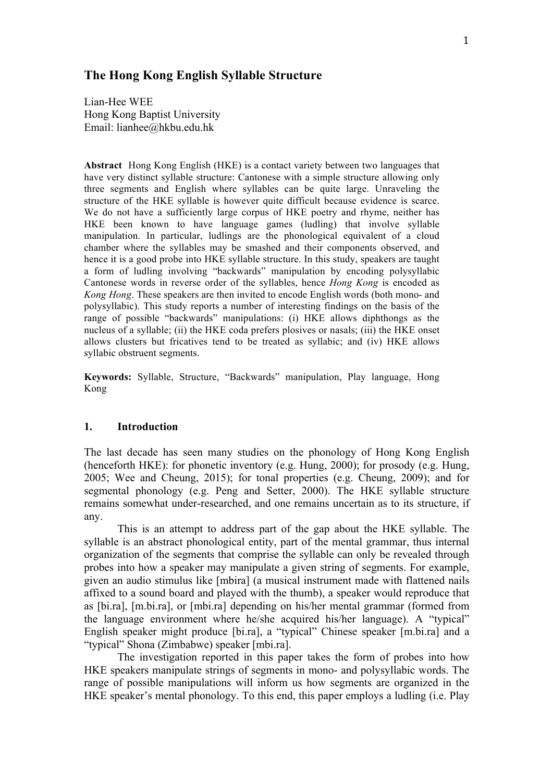# **The Hong Kong English Syllable Structure**

Lian-Hee WEE Hong Kong Baptist University Email: lianhee@hkbu.edu.hk

**Abstract** Hong Kong English (HKE) is a contact variety between two languages that have very distinct syllable structure: Cantonese with a simple structure allowing only three segments and English where syllables can be quite large. Unraveling the structure of the HKE syllable is however quite difficult because evidence is scarce. We do not have a sufficiently large corpus of HKE poetry and rhyme, neither has HKE been known to have language games (ludling) that involve syllable manipulation. In particular, ludlings are the phonological equivalent of a cloud chamber where the syllables may be smashed and their components observed, and hence it is a good probe into HKE syllable structure. In this study, speakers are taught a form of ludling involving "backwards" manipulation by encoding polysyllabic Cantonese words in reverse order of the syllables, hence *Hong Kong* is encoded as *Kong Hong*. These speakers are then invited to encode English words (both mono- and polysyllabic). This study reports a number of interesting findings on the basis of the range of possible "backwards" manipulations: (i) HKE allows diphthongs as the nucleus of a syllable; (ii) the HKE coda prefers plosives or nasals; (iii) the HKE onset allows clusters but fricatives tend to be treated as syllabic; and (iv) HKE allows syllabic obstruent segments.

**Keywords:** Syllable, Structure, "Backwards" manipulation, Play language, Hong Kong

### **1. Introduction**

The last decade has seen many studies on the phonology of Hong Kong English (henceforth HKE): for phonetic inventory (e.g. Hung, 2000); for prosody (e.g. Hung, 2005; Wee and Cheung, 2015); for tonal properties (e.g. Cheung, 2009); and for segmental phonology (e.g. Peng and Setter, 2000). The HKE syllable structure remains somewhat under-researched, and one remains uncertain as to its structure, if any.

This is an attempt to address part of the gap about the HKE syllable. The syllable is an abstract phonological entity, part of the mental grammar, thus internal organization of the segments that comprise the syllable can only be revealed through probes into how a speaker may manipulate a given string of segments. For example, given an audio stimulus like [mbira] (a musical instrument made with flattened nails affixed to a sound board and played with the thumb), a speaker would reproduce that as [bi.ra], [m.bi.ra], or [mbi.ra] depending on his/her mental grammar (formed from the language environment where he/she acquired his/her language). A "typical" English speaker might produce [bi.ra], a "typical" Chinese speaker [m.bi.ra] and a "typical" Shona (Zimbabwe) speaker [mbi.ra].

The investigation reported in this paper takes the form of probes into how HKE speakers manipulate strings of segments in mono- and polysyllabic words. The range of possible manipulations will inform us how segments are organized in the HKE speaker's mental phonology. To this end, this paper employs a ludling (i.e. Play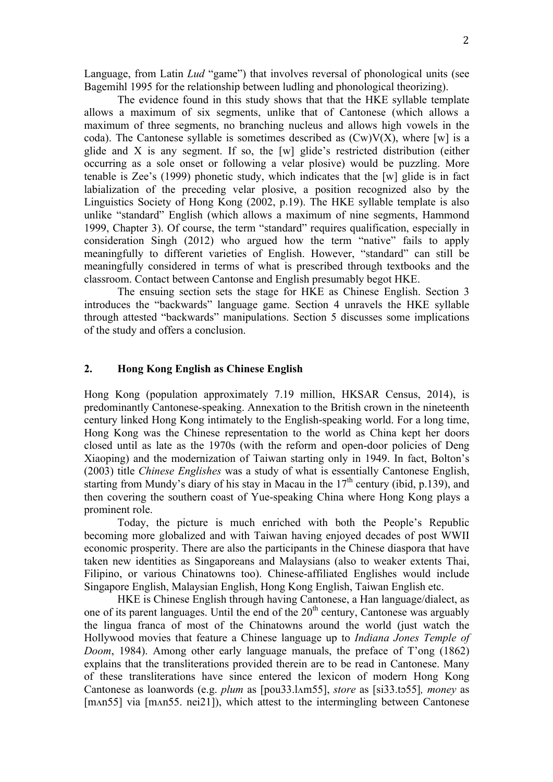The evidence found in this study shows that that the HKE syllable template allows a maximum of six segments, unlike that of Cantonese (which allows a maximum of three segments, no branching nucleus and allows high vowels in the coda). The Cantonese syllable is sometimes described as  $(Cw)V(X)$ , where [w] is a glide and X is any segment. If so, the [w] glide's restricted distribution (either occurring as a sole onset or following a velar plosive) would be puzzling. More tenable is Zee's (1999) phonetic study, which indicates that the [w] glide is in fact labialization of the preceding velar plosive, a position recognized also by the Linguistics Society of Hong Kong (2002, p.19). The HKE syllable template is also unlike "standard" English (which allows a maximum of nine segments, Hammond 1999, Chapter 3). Of course, the term "standard" requires qualification, especially in consideration Singh (2012) who argued how the term "native" fails to apply meaningfully to different varieties of English. However, "standard" can still be meaningfully considered in terms of what is prescribed through textbooks and the classroom. Contact between Cantonse and English presumably begot HKE.

The ensuing section sets the stage for HKE as Chinese English. Section 3 introduces the "backwards" language game. Section 4 unravels the HKE syllable through attested "backwards" manipulations. Section 5 discusses some implications of the study and offers a conclusion.

# **2. Hong Kong English as Chinese English**

Hong Kong (population approximately 7.19 million, HKSAR Census, 2014), is predominantly Cantonese-speaking. Annexation to the British crown in the nineteenth century linked Hong Kong intimately to the English-speaking world. For a long time, Hong Kong was the Chinese representation to the world as China kept her doors closed until as late as the 1970s (with the reform and open-door policies of Deng Xiaoping) and the modernization of Taiwan starting only in 1949. In fact, Bolton's (2003) title *Chinese Englishes* was a study of what is essentially Cantonese English, starting from Mundy's diary of his stay in Macau in the  $17<sup>th</sup>$  century (ibid, p.139), and then covering the southern coast of Yue-speaking China where Hong Kong plays a prominent role.

Today, the picture is much enriched with both the People's Republic becoming more globalized and with Taiwan having enjoyed decades of post WWII economic prosperity. There are also the participants in the Chinese diaspora that have taken new identities as Singaporeans and Malaysians (also to weaker extents Thai, Filipino, or various Chinatowns too). Chinese-affiliated Englishes would include Singapore English, Malaysian English, Hong Kong English, Taiwan English etc.

HKE is Chinese English through having Cantonese, a Han language/dialect, as one of its parent languages. Until the end of the  $20<sup>th</sup>$  century, Cantonese was arguably the lingua franca of most of the Chinatowns around the world (just watch the Hollywood movies that feature a Chinese language up to *Indiana Jones Temple of Doom*, 1984). Among other early language manuals, the preface of T'ong (1862) explains that the transliterations provided therein are to be read in Cantonese. Many of these transliterations have since entered the lexicon of modern Hong Kong Cantonese as loanwords (e.g. *plum* as [pou33.lʌm55], *store* as [si33.tɔ55]*, money* as [mʌn55] via [mʌn55. nei21]), which attest to the intermingling between Cantonese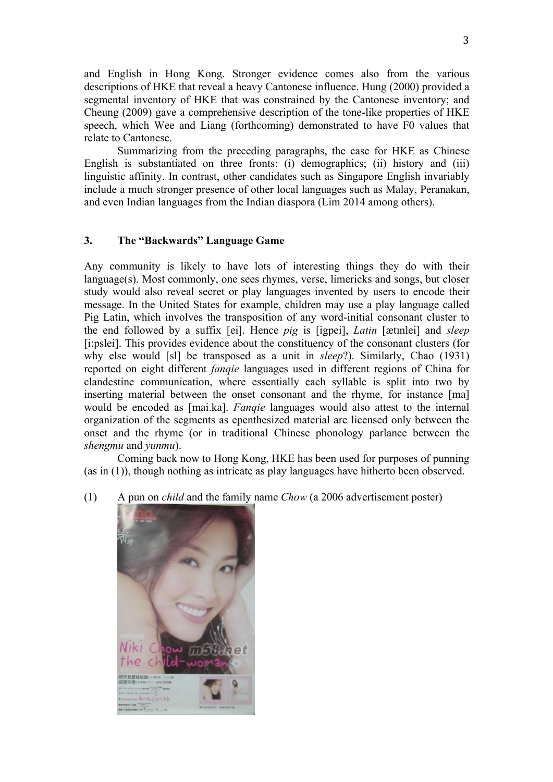and English in Hong Kong. Stronger evidence comes also from the various descriptions of HKE that reveal a heavy Cantonese influence. Hung (2000) provided a segmental inventory of HKE that was constrained by the Cantonese inventory; and Cheung (2009) gave a comprehensive description of the tone-like properties of HKE speech, which Wee and Liang (forthcoming) demonstrated to have F0 values that relate to Cantonese.

Summarizing from the preceding paragraphs, the case for HKE as Chinese English is substantiated on three fronts: (i) demographics; (ii) history and (iii) linguistic affinity. In contrast, other candidates such as Singapore English invariably include a much stronger presence of other local languages such as Malay, Peranakan, and even Indian languages from the Indian diaspora (Lim 2014 among others).

## **3. The "Backwards" Language Game**

Any community is likely to have lots of interesting things they do with their language(s). Most commonly, one sees rhymes, verse, limericks and songs, but closer study would also reveal secret or play languages invented by users to encode their message. In the United States for example, children may use a play language called Pig Latin, which involves the transposition of any word-initial consonant cluster to the end followed by a suffix [ei]. Hence *pig* is [igpei], *Latin* [ætɪnlei] and *sleep* [i:pslei]. This provides evidence about the constituency of the consonant clusters (for why else would [sl] be transposed as a unit in *sleep*?). Similarly, Chao (1931) reported on eight different *fanqie* languages used in different regions of China for clandestine communication, where essentially each syllable is split into two by inserting material between the onset consonant and the rhyme, for instance [ma] would be encoded as [mai.ka]. *Fanqie* languages would also attest to the internal organization of the segments as epenthesized material are licensed only between the onset and the rhyme (or in traditional Chinese phonology parlance between the *shengmu* and *yunmu*).

Coming back now to Hong Kong, HKE has been used for purposes of punning (as in (1)), though nothing as intricate as play languages have hitherto been observed.

(1) A pun on *child* and the family name *Chow* (a 2006 advertisement poster)

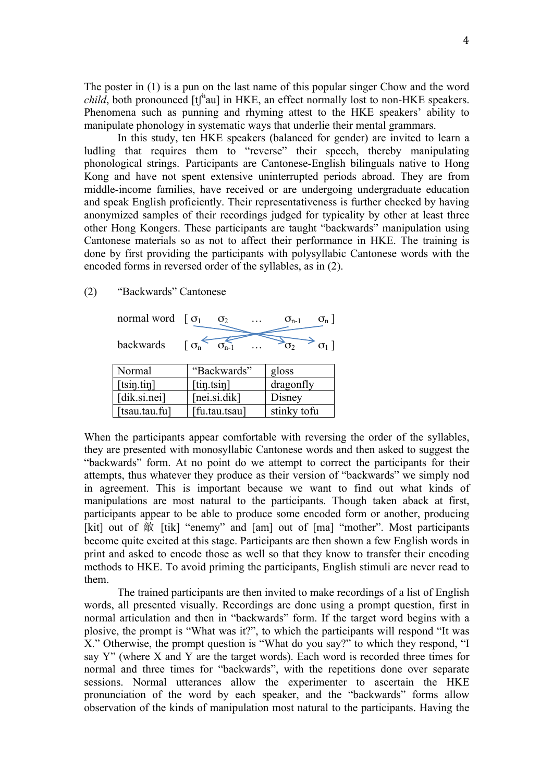The poster in (1) is a pun on the last name of this popular singer Chow and the word *child*, both pronounced  $[t]$ <sup>h</sup>au] in HKE, an effect normally lost to non-HKE speakers. Phenomena such as punning and rhyming attest to the HKE speakers' ability to manipulate phonology in systematic ways that underlie their mental grammars.

In this study, ten HKE speakers (balanced for gender) are invited to learn a ludling that requires them to "reverse" their speech, thereby manipulating phonological strings. Participants are Cantonese-English bilinguals native to Hong Kong and have not spent extensive uninterrupted periods abroad. They are from middle-income families, have received or are undergoing undergraduate education and speak English proficiently. Their representativeness is further checked by having anonymized samples of their recordings judged for typicality by other at least three other Hong Kongers. These participants are taught "backwards" manipulation using Cantonese materials so as not to affect their performance in HKE. The training is done by first providing the participants with polysyllabic Cantonese words with the encoded forms in reversed order of the syllables, as in (2).

# (2) "Backwards" Cantonese

| normal word $\sigma_1$ | $\overline{O_2}$            | $\sigma_{n}$<br>$\sigma_{n-1}$ |
|------------------------|-----------------------------|--------------------------------|
| backwards              | $\sigma_n$ $\sigma_{n-1}$   | $\sigma_1$ ]                   |
| Normal                 | "Backwards"                 | gloss                          |
| $[t\sin, \tan]$        | $[\text{tip}. \text{tsin}]$ | dragonfly                      |
| [dik.si.nei]           | [nei.si.dik]                | Disney                         |
| [tsau.tau.fu]          | [fu.tau.tsau]               | stinky tofu                    |

When the participants appear comfortable with reversing the order of the syllables, they are presented with monosyllabic Cantonese words and then asked to suggest the "backwards" form. At no point do we attempt to correct the participants for their attempts, thus whatever they produce as their version of "backwards" we simply nod in agreement. This is important because we want to find out what kinds of manipulations are most natural to the participants. Though taken aback at first, participants appear to be able to produce some encoded form or another, producing [kit] out of 敵 [tik] "enemy" and [am] out of [ma] "mother". Most participants become quite excited at this stage. Participants are then shown a few English words in print and asked to encode those as well so that they know to transfer their encoding methods to HKE. To avoid priming the participants, English stimuli are never read to them.

The trained participants are then invited to make recordings of a list of English words, all presented visually. Recordings are done using a prompt question, first in normal articulation and then in "backwards" form. If the target word begins with a plosive, the prompt is "What was it?", to which the participants will respond "It was X." Otherwise, the prompt question is "What do you say?" to which they respond, "I say Y" (where X and Y are the target words). Each word is recorded three times for normal and three times for "backwards", with the repetitions done over separate sessions. Normal utterances allow the experimenter to ascertain the HKE pronunciation of the word by each speaker, and the "backwards" forms allow observation of the kinds of manipulation most natural to the participants. Having the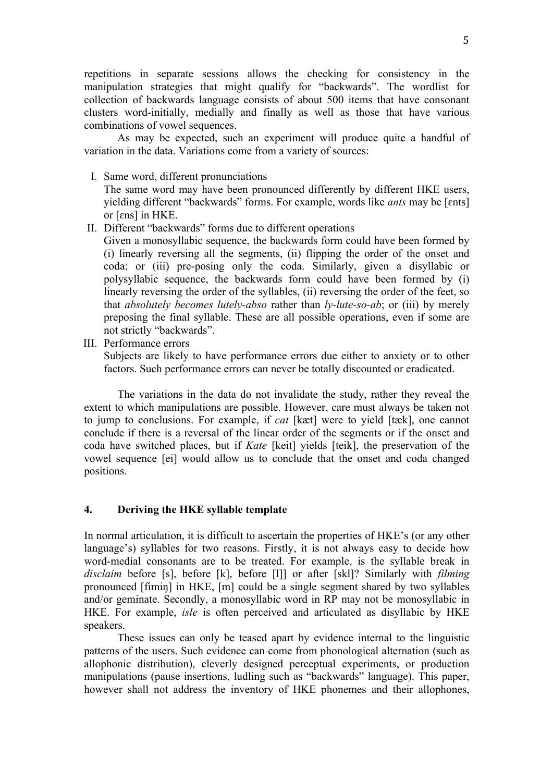repetitions in separate sessions allows the checking for consistency in the manipulation strategies that might qualify for "backwards". The wordlist for collection of backwards language consists of about 500 items that have consonant clusters word-initially, medially and finally as well as those that have various combinations of vowel sequences.

As may be expected, such an experiment will produce quite a handful of variation in the data. Variations come from a variety of sources:

I. Same word, different pronunciations

The same word may have been pronounced differently by different HKE users, yielding different "backwards" forms. For example, words like *ants* may be [ɛnts] or [ɛns] in HKE.

II. Different "backwards" forms due to different operations

Given a monosyllabic sequence, the backwards form could have been formed by (i) linearly reversing all the segments, (ii) flipping the order of the onset and coda; or (iii) pre-posing only the coda. Similarly, given a disyllabic or polysyllabic sequence, the backwards form could have been formed by (i) linearly reversing the order of the syllables, (ii) reversing the order of the feet, so that *absolutely becomes lutely-abso* rather than *ly-lute-so-ab*; or (iii) by merely preposing the final syllable. These are all possible operations, even if some are not strictly "backwards".

III. Performance errors

Subjects are likely to have performance errors due either to anxiety or to other factors. Such performance errors can never be totally discounted or eradicated.

The variations in the data do not invalidate the study, rather they reveal the extent to which manipulations are possible. However, care must always be taken not to jump to conclusions. For example, if *cat* [kæt] were to yield [tæk], one cannot conclude if there is a reversal of the linear order of the segments or if the onset and coda have switched places, but if *Kate* [keit] yields [teik], the preservation of the vowel sequence [ei] would allow us to conclude that the onset and coda changed positions.

#### **4. Deriving the HKE syllable template**

In normal articulation, it is difficult to ascertain the properties of HKE's (or any other language's) syllables for two reasons. Firstly, it is not always easy to decide how word-medial consonants are to be treated. For example, is the syllable break in *disclaim* before [s], before [k], before [l]] or after [skl]? Similarly with *filming* pronounced [fimiŋ] in HKE, [m] could be a single segment shared by two syllables and/or geminate. Secondly, a monosyllabic word in RP may not be monosyllabic in HKE. For example, *isle* is often perceived and articulated as disyllabic by HKE speakers.

These issues can only be teased apart by evidence internal to the linguistic patterns of the users. Such evidence can come from phonological alternation (such as allophonic distribution), cleverly designed perceptual experiments, or production manipulations (pause insertions, ludling such as "backwards" language). This paper, however shall not address the inventory of HKE phonemes and their allophones,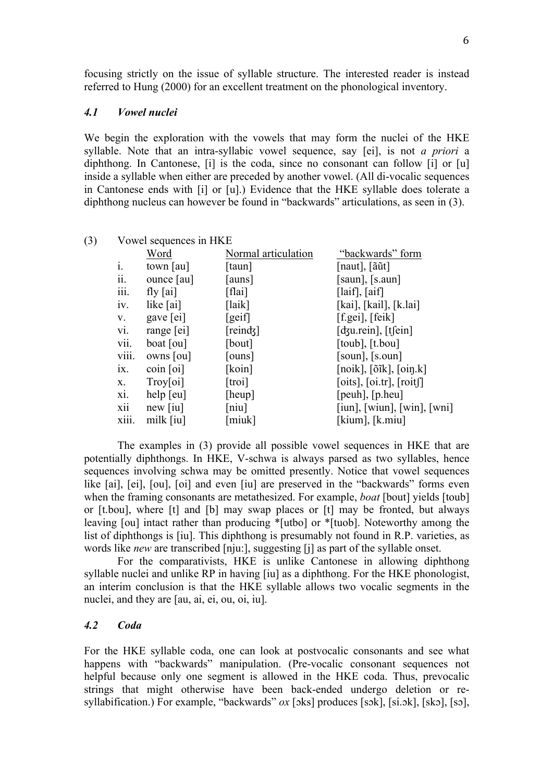focusing strictly on the issue of syllable structure. The interested reader is instead referred to Hung (2000) for an excellent treatment on the phonological inventory.

### *4.1 Vowel nuclei*

We begin the exploration with the vowels that may form the nuclei of the HKE syllable. Note that an intra-syllabic vowel sequence, say [ei], is not *a priori* a diphthong. In Cantonese, [i] is the coda, since no consonant can follow [i] or [u] inside a syllable when either are preceded by another vowel. (All di-vocalic sequences in Cantonese ends with [i] or [u].) Evidence that the HKE syllable does tolerate a diphthong nucleus can however be found in "backwards" articulations, as seen in (3).

| Vowel sequences in HKE                                                                               |  |  |  |
|------------------------------------------------------------------------------------------------------|--|--|--|
| "backwards" form                                                                                     |  |  |  |
| [naut], [ $\tilde{a}$ ũt]                                                                            |  |  |  |
| [saun], [s.aun]                                                                                      |  |  |  |
| [1aif], [aif]                                                                                        |  |  |  |
| [kai], [kail], [k.lai]                                                                               |  |  |  |
| [f.gei], [feik]                                                                                      |  |  |  |
| $[$ dzu.rein $]$ , $[t]$ ein $]$                                                                     |  |  |  |
| [toub], [t.bou]                                                                                      |  |  |  |
| [soun], [s.oun]                                                                                      |  |  |  |
| $[noik], [\tilde{oik}], [\text{oip}.k]$                                                              |  |  |  |
| [oits], $[oi.tr]$ , $[roit]$ ]                                                                       |  |  |  |
| $[peuh]$ , $[p.heu]$                                                                                 |  |  |  |
| $\lceil$ iun], $\lceil \text{wiun} \rceil$ , $\lceil \text{win} \rceil$ , $\lceil \text{wni} \rceil$ |  |  |  |
| [kium], [k.miu]                                                                                      |  |  |  |
|                                                                                                      |  |  |  |

The examples in (3) provide all possible vowel sequences in HKE that are potentially diphthongs. In HKE, V-schwa is always parsed as two syllables, hence sequences involving schwa may be omitted presently. Notice that vowel sequences like [ai], [ei], [ou], [oi] and even [iu] are preserved in the "backwards" forms even when the framing consonants are metathesized. For example, *boat* [bout] yields [toub] or [t.bou], where [t] and [b] may swap places or [t] may be fronted, but always leaving [ou] intact rather than producing \*[utbo] or \*[tuob]. Noteworthy among the list of diphthongs is [iu]. This diphthong is presumably not found in R.P. varieties, as words like *new* are transcribed [nju:], suggesting [j] as part of the syllable onset.

For the comparativists, HKE is unlike Cantonese in allowing diphthong syllable nuclei and unlike RP in having [iu] as a diphthong. For the HKE phonologist, an interim conclusion is that the HKE syllable allows two vocalic segments in the nuclei, and they are [au, ai, ei, ou, oi, iu].

# *4.2 Coda*

For the HKE syllable coda, one can look at postvocalic consonants and see what happens with "backwards" manipulation. (Pre-vocalic consonant sequences not helpful because only one segment is allowed in the HKE coda. Thus, prevocalic strings that might otherwise have been back-ended undergo deletion or resyllabification.) For example, "backwards" *ox* [ɔks] produces [sɔk], [si.ɔk], [skɔ], [sɔ],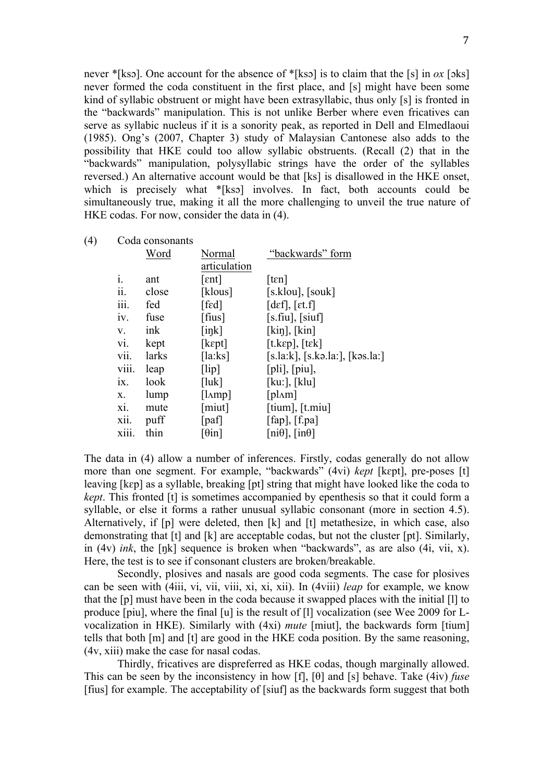never \*[ksɔ]. One account for the absence of \*[ksɔ] is to claim that the [s] in *ox* [ɔks] never formed the coda constituent in the first place, and [s] might have been some kind of syllabic obstruent or might have been extrasyllabic, thus only [s] is fronted in the "backwards" manipulation. This is not unlike Berber where even fricatives can serve as syllabic nucleus if it is a sonority peak, as reported in Dell and Elmedlaoui (1985). Ong's (2007, Chapter 3) study of Malaysian Cantonese also adds to the possibility that HKE could too allow syllabic obstruents. (Recall (2) that in the "backwards" manipulation, polysyllabic strings have the order of the syllables reversed.) An alternative account would be that [ks] is disallowed in the HKE onset, which is precisely what \*[ksɔ] involves. In fact, both accounts could be simultaneously true, making it all the more challenging to unveil the true nature of HKE codas. For now, consider the data in (4).

| Coda consonants        |       |                                  |                                                             |
|------------------------|-------|----------------------------------|-------------------------------------------------------------|
|                        | Word  | Normal                           | "backwards" form                                            |
|                        |       | articulation                     |                                                             |
| $\mathbf{i}$ .         | ant   | $\lceil \text{ent} \rceil$       | $ \tan $                                                    |
| ii.                    | close | [klous]                          | [s.klou], [souk]                                            |
| $\dddot{\mathbf{m}}$ . | fed   | [fɛd]                            | [def], [et.f]                                               |
| 1V.                    | fuse  | $[\text{fius}]$                  | $[s$ .fiu $], [s]$                                          |
| V.                     | ink   | $\lceil$ ink]                    | $[kin]$ , $[kin]$                                           |
| vi.                    | kept  | [ $k$ ept]                       | $[t \mathbf{.} \mathsf{kep}]$ , $[t \mathbf{.} \mathsf{k}]$ |
| vii.                   | larks | $\lceil$ la:ks $\rceil$          | $[s.la:k]$ , $[s.ka.la!]$ , $[kos.la!]$                     |
| viii.                  | leap  | $[\text{lip}]$                   | $[pli]$ , $[piu]$ ,                                         |
| 1X.                    | look  | [lnk]                            | [ku:], [klu]                                                |
| X.                     | lump  | [lambdamp]                       | $[\text{pl} \Lambda \text{m}]$                              |
| xi.                    | mute  | [miut]                           | $[$ tium $]$ , $[$ t.miu $]$                                |
| xii.                   | puff  | $[$ paf $]$                      | $[\text{fap}]$ , $[f$ .pa]                                  |
| xiii.                  | thin  | $\lceil \theta \text{in} \rceil$ | $[ni\theta]$ , $[in\theta]$                                 |
|                        |       |                                  |                                                             |

 $(4)$ 

The data in (4) allow a number of inferences. Firstly, codas generally do not allow more than one segment. For example, "backwards" (4vi) *kept* [kɛpt], pre-poses [t] leaving [kɛp] as a syllable, breaking [pt] string that might have looked like the coda to *kept*. This fronted [t] is sometimes accompanied by epenthesis so that it could form a syllable, or else it forms a rather unusual syllabic consonant (more in section 4.5). Alternatively, if [p] were deleted, then [k] and [t] metathesize, in which case, also demonstrating that [t] and [k] are acceptable codas, but not the cluster [pt]. Similarly, in (4v) *ink*, the [ŋk] sequence is broken when "backwards", as are also (4i, vii, x). Here, the test is to see if consonant clusters are broken/breakable.

Secondly, plosives and nasals are good coda segments. The case for plosives can be seen with (4iii, vi, vii, viii, xi, xi, xii). In (4viii) *leap* for example, we know that the [p] must have been in the coda because it swapped places with the initial [l] to produce [piu], where the final [u] is the result of [l] vocalization (see Wee 2009 for Lvocalization in HKE). Similarly with (4xi) *mute* [miut], the backwards form [tium] tells that both [m] and [t] are good in the HKE coda position. By the same reasoning, (4v, xiii) make the case for nasal codas.

Thirdly, fricatives are dispreferred as HKE codas, though marginally allowed. This can be seen by the inconsistency in how [f], [θ] and [s] behave. Take (4iv) *fuse*  [fius] for example. The acceptability of [siuf] as the backwards form suggest that both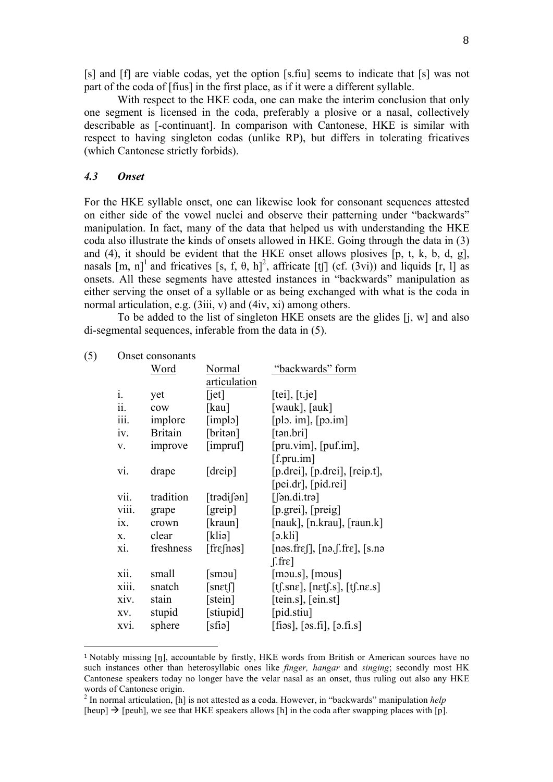[s] and [f] are viable codas, yet the option [s.fiu] seems to indicate that [s] was not part of the coda of [fius] in the first place, as if it were a different syllable.

With respect to the HKE coda, one can make the interim conclusion that only one segment is licensed in the coda, preferably a plosive or a nasal, collectively describable as [-continuant]. In comparison with Cantonese, HKE is similar with respect to having singleton codas (unlike RP), but differs in tolerating fricatives (which Cantonese strictly forbids).

#### *4.3 Onset*

For the HKE syllable onset, one can likewise look for consonant sequences attested on either side of the vowel nuclei and observe their patterning under "backwards" manipulation. In fact, many of the data that helped us with understanding the HKE coda also illustrate the kinds of onsets allowed in HKE. Going through the data in (3) and (4), it should be evident that the HKE onset allows plosives [p, t, k, b, d, g], nasals  $[m, n]$ <sup>1</sup> and fricatives  $[s, f, \theta, h]^2$ , affricate  $[t]$  (cf. (3vi)) and liquids  $[r, 1]$  as onsets. All these segments have attested instances in "backwards" manipulation as either serving the onset of a syllable or as being exchanged with what is the coda in normal articulation, e.g.  $(3iii, v)$  and  $(4iv, xi)$  among others.

To be added to the list of singleton HKE onsets are the glides [j, w] and also di-segmental sequences, inferable from the data in (5).

| (5) |                        | Onset consonants |                               |                                               |
|-----|------------------------|------------------|-------------------------------|-----------------------------------------------|
|     |                        | Word             | Normal                        | "backwards" form                              |
|     |                        |                  | articulation                  |                                               |
|     | i.                     | yet              | [jet]                         | [tei], [t.je]                                 |
|     | $\ddot{\mathbf{i}}$    | $_{\text{cow}}$  | [kau]                         | [wauk], $[auk]$                               |
|     | $\dddot{\mathbf{m}}$ . | implore          | [implo]                       | [plo. im], $[po . im]$                        |
|     | iv.                    | <b>Britain</b>   | [briton]                      | [tən.bri]                                     |
|     | V.                     | improve          | [impruf]                      | $[pru.vim]$ , $[pur(im]$ ,                    |
|     |                        |                  |                               | $[$ f.pru.im $]$                              |
|     | vi.                    | drape            | [dreip]                       | [p.drei], [p.drei], [reip.t],                 |
|     |                        |                  |                               | [pei.dr], [pid.rei]                           |
|     | vii.                   | tradition        | $[tr\partial$ ifan]           | $[$ $\int$ ən.di.trə $\int$                   |
|     | viii.                  | grape            | [greip]                       | [p.grei], [preig]                             |
|     | ix.                    | crown            | [kraun]                       | [nauk], [n.krau], [raun.k]                    |
|     | X.                     | clear            | [kliə]                        | $\lceil$ ə.kli $\rceil$                       |
|     | xi.                    | freshness        | $[{\rm fr}$ c ${\rm fin}$ as] | [nos.fre[], [no.f.fre], [s.no                 |
|     |                        |                  |                               | $\int$ .fre]                                  |
|     | xii.                   | small            | [smou]                        | $[mous]$ , $[mous]$                           |
|     | xiii.                  | snatch           | [snet]                        | $[t].sn\epsilon], [net].s], [t].n\epsilon.s]$ |
|     | xiv.                   | stain            | [stein]                       | [ten.s], [ein.st]                             |
|     | XV.                    | stupid           | [stiupid]                     | [pid.stiu]                                    |
|     | XV1.                   | sphere           | $[s$ fiə $]$                  | $[$ fiəs], $[$ əs.fi], $[$ ə.fi.s]            |
|     |                        |                  |                               |                                               |

 

<sup>1</sup> Notably missing [ŋ], accountable by firstly, HKE words from British or American sources have no such instances other than heterosyllabic ones like *finger, hangar* and *singing*; secondly most HK Cantonese speakers today no longer have the velar nasal as an onset, thus ruling out also any HKE words of Cantonese origin.

<sup>2</sup> In normal articulation, [h] is not attested as a coda. However, in "backwards" manipulation *help* [heup]  $\rightarrow$  [peuh], we see that HKE speakers allows [h] in the coda after swapping places with [p].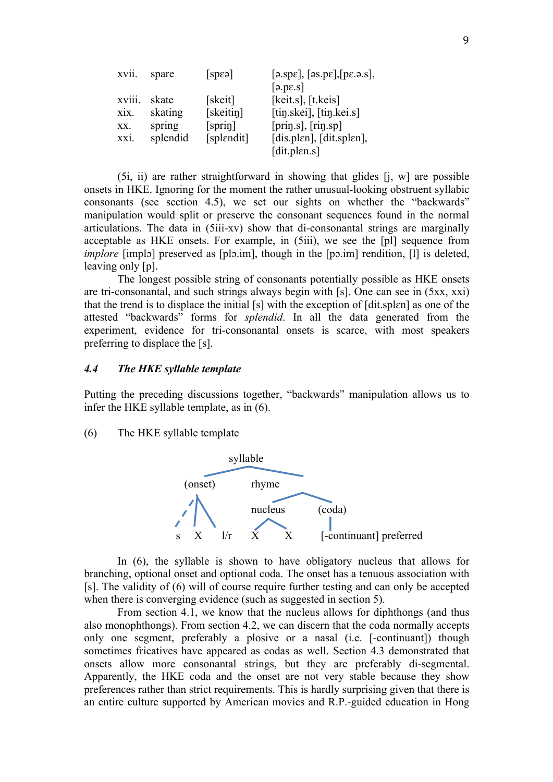| <b>XV11.</b>  | spare    | [spea]     | $[s.\text{sp}\varepsilon]$ , $[s.\text{sp}\varepsilon]$ , $[s.\text{sp}\varepsilon]$ , |
|---------------|----------|------------|----------------------------------------------------------------------------------------|
|               |          |            | [9.98.5]                                                                               |
| <b>XV111.</b> | skate    | [skeit]    | [ $keit.s$ ], $[t.keis]$                                                               |
| xix.          | skating  | [skeitin]  | $[tin. skei]$ , $[tin.kei.s]$                                                          |
| XX.           | spring   | [sprin]    | $[\text{prin.s}]$ , $[\text{rin.sp}]$                                                  |
| xxi.          | splendid | [splɛndit] | $[dis.plen]$ , $[dit.splen]$ ,                                                         |
|               |          |            | $\left[$ dit.pl $\epsilon$ n.s $\right]$                                               |

(5i, ii) are rather straightforward in showing that glides [j, w] are possible onsets in HKE. Ignoring for the moment the rather unusual-looking obstruent syllabic consonants (see section 4.5), we set our sights on whether the "backwards" manipulation would split or preserve the consonant sequences found in the normal articulations. The data in (5iii-xv) show that di-consonantal strings are marginally acceptable as HKE onsets. For example, in (5iii), we see the [pl] sequence from *implore* [implɔ] preserved as [plɔ.im], though in the [pɔ.im] rendition, [l] is deleted, leaving only [p].

The longest possible string of consonants potentially possible as HKE onsets are tri-consonantal, and such strings always begin with [s]. One can see in (5xx, xxi) that the trend is to displace the initial [s] with the exception of [dit.splɛn] as one of the attested "backwards" forms for *splendid*. In all the data generated from the experiment, evidence for tri-consonantal onsets is scarce, with most speakers preferring to displace the [s].

#### *4.4 The HKE syllable template*

Putting the preceding discussions together, "backwards" manipulation allows us to infer the HKE syllable template, as in (6).

(6) The HKE syllable template



In (6), the syllable is shown to have obligatory nucleus that allows for branching, optional onset and optional coda. The onset has a tenuous association with [s]. The validity of (6) will of course require further testing and can only be accepted when there is converging evidence (such as suggested in section 5).

From section 4.1, we know that the nucleus allows for diphthongs (and thus also monophthongs). From section 4.2, we can discern that the coda normally accepts only one segment, preferably a plosive or a nasal (i.e. [-continuant]) though sometimes fricatives have appeared as codas as well. Section 4.3 demonstrated that onsets allow more consonantal strings, but they are preferably di-segmental. Apparently, the HKE coda and the onset are not very stable because they show preferences rather than strict requirements. This is hardly surprising given that there is an entire culture supported by American movies and R.P.-guided education in Hong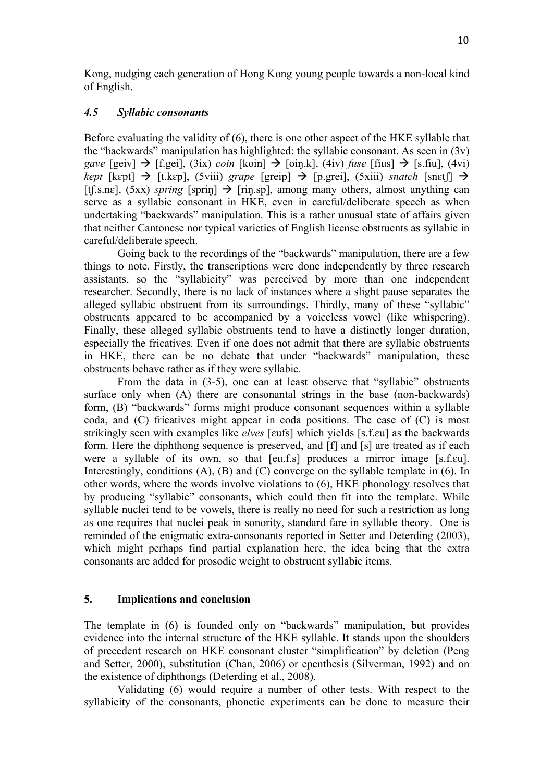Kong, nudging each generation of Hong Kong young people towards a non-local kind of English.

#### *4.5 Syllabic consonants*

Before evaluating the validity of (6), there is one other aspect of the HKE syllable that the "backwards" manipulation has highlighted: the syllabic consonant. As seen in (3v) *gave*  $[\text{geiv}] \rightarrow [f \cdot \text{gei}], (3ix) \text{ coin } [\text{koin}] \rightarrow [\text{oin }k], (4iv) \text{ fuse } [\text{fius}] \rightarrow [\text{s.fiu}], (4vi)$  $kept$  [kɛpt]  $\rightarrow$  [t.kɛp], (5viii) *grape* [greip]  $\rightarrow$  [p.grei], (5xiii) *snatch* [snɛtʃ]  $\rightarrow$ [t][[f.s.nɛ],  $(5xx)$  *spring* [sprin]  $\rightarrow$  [rin.sp], among many others, almost anything can serve as a syllabic consonant in HKE, even in careful/deliberate speech as when undertaking "backwards" manipulation. This is a rather unusual state of affairs given that neither Cantonese nor typical varieties of English license obstruents as syllabic in careful/deliberate speech.

Going back to the recordings of the "backwards" manipulation, there are a few things to note. Firstly, the transcriptions were done independently by three research assistants, so the "syllabicity" was perceived by more than one independent researcher. Secondly, there is no lack of instances where a slight pause separates the alleged syllabic obstruent from its surroundings. Thirdly, many of these "syllabic" obstruents appeared to be accompanied by a voiceless vowel (like whispering). Finally, these alleged syllabic obstruents tend to have a distinctly longer duration, especially the fricatives. Even if one does not admit that there are syllabic obstruents in HKE, there can be no debate that under "backwards" manipulation, these obstruents behave rather as if they were syllabic.

From the data in (3-5), one can at least observe that "syllabic" obstruents surface only when (A) there are consonantal strings in the base (non-backwards) form, (B) "backwards" forms might produce consonant sequences within a syllable coda, and (C) fricatives might appear in coda positions. The case of (C) is most strikingly seen with examples like *elves* [ɛufs] which yields [s.f.ɛu] as the backwards form. Here the diphthong sequence is preserved, and [f] and [s] are treated as if each were a syllable of its own, so that [eu.f.s] produces a mirror image [s.f.ɛu]. Interestingly, conditions  $(A)$ ,  $(B)$  and  $(C)$  converge on the syllable template in  $(6)$ . In other words, where the words involve violations to (6), HKE phonology resolves that by producing "syllabic" consonants, which could then fit into the template. While syllable nuclei tend to be vowels, there is really no need for such a restriction as long as one requires that nuclei peak in sonority, standard fare in syllable theory. One is reminded of the enigmatic extra-consonants reported in Setter and Deterding (2003), which might perhaps find partial explanation here, the idea being that the extra consonants are added for prosodic weight to obstruent syllabic items.

## **5. Implications and conclusion**

The template in (6) is founded only on "backwards" manipulation, but provides evidence into the internal structure of the HKE syllable. It stands upon the shoulders of precedent research on HKE consonant cluster "simplification" by deletion (Peng and Setter, 2000), substitution (Chan, 2006) or epenthesis (Silverman, 1992) and on the existence of diphthongs (Deterding et al., 2008).

Validating (6) would require a number of other tests. With respect to the syllabicity of the consonants, phonetic experiments can be done to measure their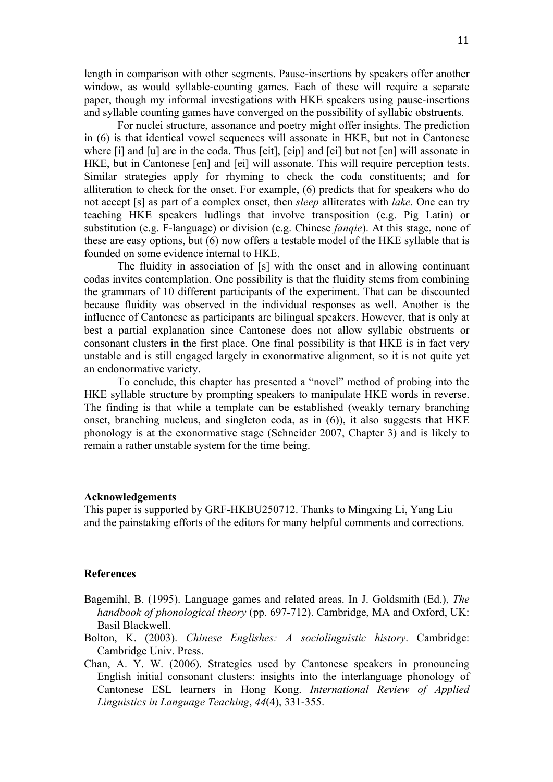length in comparison with other segments. Pause-insertions by speakers offer another window, as would syllable-counting games. Each of these will require a separate paper, though my informal investigations with HKE speakers using pause-insertions and syllable counting games have converged on the possibility of syllabic obstruents.

For nuclei structure, assonance and poetry might offer insights. The prediction in (6) is that identical vowel sequences will assonate in HKE, but not in Cantonese where [i] and [u] are in the coda. Thus [eit], [eip] and [ei] but not [en] will assonate in HKE, but in Cantonese [en] and [ei] will assonate. This will require perception tests. Similar strategies apply for rhyming to check the coda constituents; and for alliteration to check for the onset. For example, (6) predicts that for speakers who do not accept [s] as part of a complex onset, then *sleep* alliterates with *lake*. One can try teaching HKE speakers ludlings that involve transposition (e.g. Pig Latin) or substitution (e.g. F-language) or division (e.g. Chinese *fanqie*). At this stage, none of these are easy options, but (6) now offers a testable model of the HKE syllable that is founded on some evidence internal to HKE.

The fluidity in association of [s] with the onset and in allowing continuant codas invites contemplation. One possibility is that the fluidity stems from combining the grammars of 10 different participants of the experiment. That can be discounted because fluidity was observed in the individual responses as well. Another is the influence of Cantonese as participants are bilingual speakers. However, that is only at best a partial explanation since Cantonese does not allow syllabic obstruents or consonant clusters in the first place. One final possibility is that HKE is in fact very unstable and is still engaged largely in exonormative alignment, so it is not quite yet an endonormative variety.

To conclude, this chapter has presented a "novel" method of probing into the HKE syllable structure by prompting speakers to manipulate HKE words in reverse. The finding is that while a template can be established (weakly ternary branching onset, branching nucleus, and singleton coda, as in (6)), it also suggests that HKE phonology is at the exonormative stage (Schneider 2007, Chapter 3) and is likely to remain a rather unstable system for the time being.

#### **Acknowledgements**

This paper is supported by GRF-HKBU250712. Thanks to Mingxing Li, Yang Liu and the painstaking efforts of the editors for many helpful comments and corrections.

#### **References**

- Bagemihl, B. (1995). Language games and related areas. In J. Goldsmith (Ed.), *The handbook of phonological theory* (pp. 697-712). Cambridge, MA and Oxford, UK: Basil Blackwell.
- Bolton, K. (2003). *Chinese Englishes: A sociolinguistic history*. Cambridge: Cambridge Univ. Press.
- Chan, A. Y. W. (2006). Strategies used by Cantonese speakers in pronouncing English initial consonant clusters: insights into the interlanguage phonology of Cantonese ESL learners in Hong Kong. *International Review of Applied Linguistics in Language Teaching*, *44*(4), 331-355.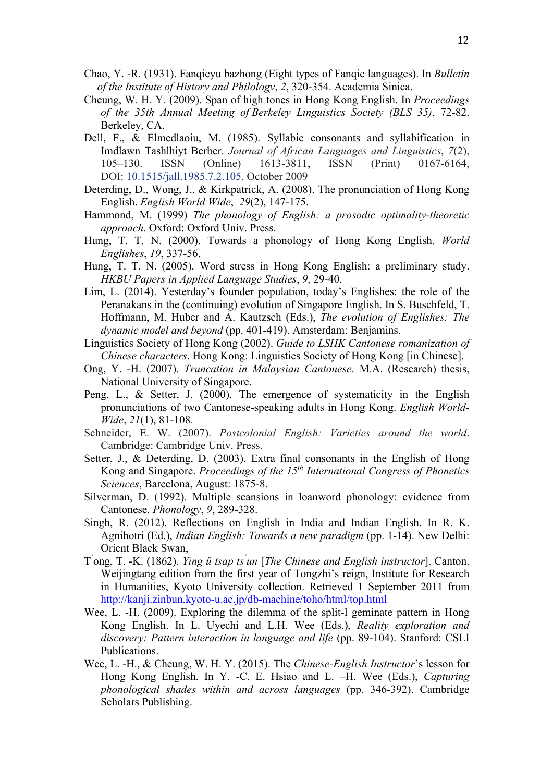- Chao, Y. -R. (1931). Fanqieyu bazhong (Eight types of Fanqie languages). In *Bulletin of the Institute of History and Philology*, *2*, 320-354. Academia Sinica.
- Cheung, W. H. Y. (2009). Span of high tones in Hong Kong English. In *Proceedings of the 35th Annual Meeting of Berkeley Linguistics Society (BLS 35)*, 72-82. Berkeley, CA.
- Dell, F., & Elmedlaoiu, M. (1985). Syllabic consonants and syllabification in Imdlawn Tashlhiyt Berber. *Journal of African Languages and Linguistics*, *7*(2), 105–130. ISSN (Online) 1613-3811, ISSN (Print) 0167-6164, DOI: 10.1515/jall.1985.7.2.105, October 2009
- Deterding, D., Wong, J., & Kirkpatrick, A. (2008). The pronunciation of Hong Kong English. *English World Wide*, *29*(2), 147-175.
- Hammond, M. (1999) *The phonology of English: a prosodic optimality-theoretic approach*. Oxford: Oxford Univ. Press.
- Hung, T. T. N. (2000). Towards a phonology of Hong Kong English. *World Englishes*, *19*, 337-56.
- Hung, T. T. N. (2005). Word stress in Hong Kong English: a preliminary study. *HKBU Papers in Applied Language Studies*, *9*, 29-40.
- Lim, L. (2014). Yesterday's founder population, today's Englishes: the role of the Peranakans in the (continuing) evolution of Singapore English. In S. Buschfeld, T. Hoffmann, M. Huber and A. Kautzsch (Eds.), *The evolution of Englishes: The dynamic model and beyond* (pp. 401-419). Amsterdam: Benjamins.
- Linguistics Society of Hong Kong (2002). *Guide to LSHK Cantonese romanization of Chinese characters*. Hong Kong: Linguistics Society of Hong Kong [in Chinese].
- Ong, Y. -H. (2007). *Truncation in Malaysian Cantonese*. M.A. (Research) thesis, National University of Singapore.
- Peng, L., & Setter, J. (2000). The emergence of systematicity in the English pronunciations of two Cantonese-speaking adults in Hong Kong. *English World-Wide*, *21*(1), 81-108.
- Schneider, E. W. (2007). *Postcolonial English: Varieties around the world*. Cambridge: Cambridge Univ. Press.
- Setter, J., & Deterding, D. (2003). Extra final consonants in the English of Hong Kong and Singapore. *Proceedings of the 15th International Congress of Phonetics Sciences*, Barcelona, August: 1875-8.
- Silverman, D. (1992). Multiple scansions in loanword phonology: evidence from Cantonese. *Phonology*, *9*, 289-328.
- Singh, R. (2012). Reflections on English in India and Indian English. In R. K. Agnihotri (Ed.), *Indian English: Towards a new paradigm* (pp. 1-14). New Delhi: Orient Black Swan,
- T' ong, T. -K. (1862). *Ying ü tsap ts ' un* [*The Chinese and English instructor*]. Canton. Weijingtang edition from the first year of Tongzhi's reign, Institute for Research in Humanities, Kyoto University collection. Retrieved 1 September 2011 from http://kanji.zinbun.kyoto-u.ac.jp/db-machine/toho/html/top.html
- Wee, L. -H. (2009). Exploring the dilemma of the split-l geminate pattern in Hong Kong English. In L. Uyechi and L.H. Wee (Eds.), *Reality exploration and discovery: Pattern interaction in language and life* (pp. 89-104). Stanford: CSLI Publications.
- Wee, L. -H., & Cheung, W. H. Y. (2015). The *Chinese-English Instructor*'s lesson for Hong Kong English. In Y. -C. E. Hsiao and L. –H. Wee (Eds.), *Capturing phonological shades within and across languages* (pp. 346-392). Cambridge Scholars Publishing.